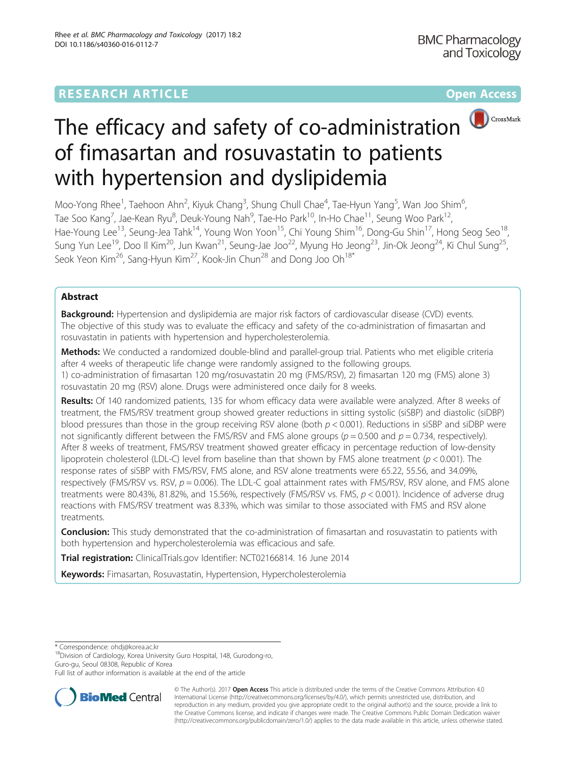

# The efficacy and safety of co-administration of fimasartan and rosuvastatin to patients with hypertension and dyslipidemia

Moo-Yong Rhee<sup>1</sup>, Taehoon Ahn<sup>2</sup>, Kiyuk Chang<sup>3</sup>, Shung Chull Chae<sup>4</sup>, Tae-Hyun Yang<sup>5</sup>, Wan Joo Shim<sup>6</sup> , Tae Soo Kang<sup>7</sup>, Jae-Kean Ryu<sup>8</sup>, Deuk-Young Nah<sup>9</sup>, Tae-Ho Park<sup>10</sup>, In-Ho Chae<sup>11</sup>, Seung Woo Park<sup>12</sup>, Hae-Young Lee<sup>13</sup>, Seung-Jea Tahk<sup>14</sup>, Young Won Yoon<sup>15</sup>, Chi Young Shim<sup>16</sup>, Dong-Gu Shin<sup>17</sup>, Hong Seog Seo<sup>18</sup> Sung Yun Lee<sup>19</sup>, Doo Il Kim<sup>20</sup>, Jun Kwan<sup>21</sup>, Seung-Jae Joo<sup>22</sup>, Myung Ho Jeong<sup>23</sup>, Jin-Ok Jeong<sup>24</sup>, Ki Chul Sung<sup>25</sup>, Seok Yeon Kim<sup>26</sup>, Sang-Hyun Kim<sup>27</sup>, Kook-Jin Chun<sup>28</sup> and Dong Joo Oh<sup>18\*</sup>

# Abstract

**Background:** Hypertension and dyslipidemia are major risk factors of cardiovascular disease (CVD) events. The objective of this study was to evaluate the efficacy and safety of the co-administration of fimasartan and rosuvastatin in patients with hypertension and hypercholesterolemia.

Methods: We conducted a randomized double-blind and parallel-group trial. Patients who met eligible criteria after 4 weeks of therapeutic life change were randomly assigned to the following groups. 1) co-administration of fimasartan 120 mg/rosuvastatin 20 mg (FMS/RSV), 2) fimasartan 120 mg (FMS) alone 3)

rosuvastatin 20 mg (RSV) alone. Drugs were administered once daily for 8 weeks.

Results: Of 140 randomized patients, 135 for whom efficacy data were available were analyzed. After 8 weeks of treatment, the FMS/RSV treatment group showed greater reductions in sitting systolic (siSBP) and diastolic (siDBP) blood pressures than those in the group receiving RSV alone (both  $p < 0.001$ ). Reductions in siSBP and siDBP were not significantly different between the FMS/RSV and FMS alone groups ( $p = 0.500$  and  $p = 0.734$ , respectively). After 8 weeks of treatment, FMS/RSV treatment showed greater efficacy in percentage reduction of low-density lipoprotein cholesterol (LDL-C) level from baseline than that shown by FMS alone treatment ( $p < 0.001$ ). The response rates of siSBP with FMS/RSV, FMS alone, and RSV alone treatments were 65.22, 55.56, and 34.09%, respectively (FMS/RSV vs. RSV,  $p = 0.006$ ). The LDL-C goal attainment rates with FMS/RSV, RSV alone, and FMS alone treatments were 80.43%, 81.82%, and 15.56%, respectively (FMS/RSV vs. FMS, p < 0.001). Incidence of adverse drug reactions with FMS/RSV treatment was 8.33%, which was similar to those associated with FMS and RSV alone treatments.

**Conclusion:** This study demonstrated that the co-administration of fimasartan and rosuvastatin to patients with both hypertension and hypercholesterolemia was efficacious and safe.

Trial registration: ClinicalTrials.gov Identifier: [NCT02166814](https://clinicaltrials.gov/ct2/show/NCT02166814). 16 June 2014

Keywords: Fimasartan, Rosuvastatin, Hypertension, Hypercholesterolemia

\* Correspondence: [ohdj@korea.ac.kr](mailto:ohdj@korea.ac.kr)<br><sup>18</sup>Division of Cardiology, Korea University Guro Hospital, 148, Gurodong-ro, Guro-gu, Seoul 08308, Republic of Korea

Full list of author information is available at the end of the article



© The Author(s). 2017 **Open Access** This article is distributed under the terms of the Creative Commons Attribution 4.0 International License [\(http://creativecommons.org/licenses/by/4.0/](http://creativecommons.org/licenses/by/4.0/)), which permits unrestricted use, distribution, and reproduction in any medium, provided you give appropriate credit to the original author(s) and the source, provide a link to the Creative Commons license, and indicate if changes were made. The Creative Commons Public Domain Dedication waiver [\(http://creativecommons.org/publicdomain/zero/1.0/](http://creativecommons.org/publicdomain/zero/1.0/)) applies to the data made available in this article, unless otherwise stated.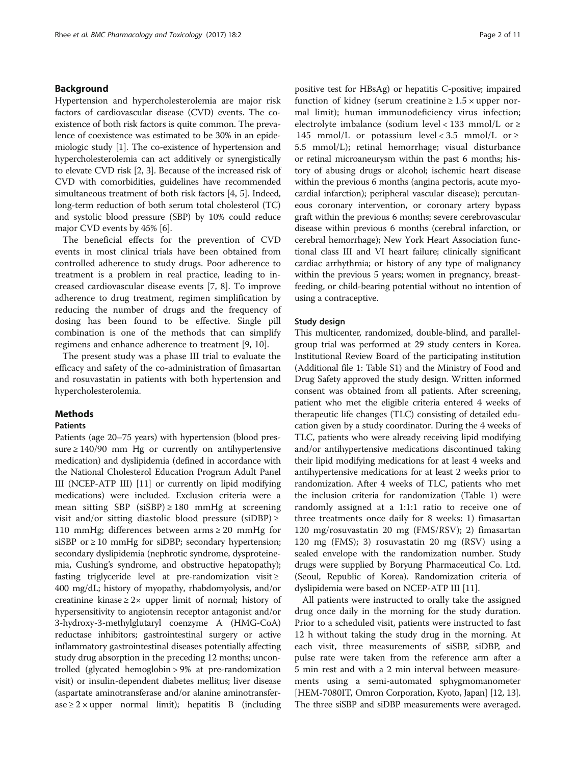# Background

Hypertension and hypercholesterolemia are major risk factors of cardiovascular disease (CVD) events. The coexistence of both risk factors is quite common. The prevalence of coexistence was estimated to be 30% in an epidemiologic study [[1\]](#page-9-0). The co-existence of hypertension and hypercholesterolemia can act additively or synergistically to elevate CVD risk [[2](#page-9-0), [3](#page-9-0)]. Because of the increased risk of CVD with comorbidities, guidelines have recommended simultaneous treatment of both risk factors [\[4, 5\]](#page-9-0). Indeed, long-term reduction of both serum total cholesterol (TC) and systolic blood pressure (SBP) by 10% could reduce major CVD events by 45% [\[6\]](#page-9-0).

The beneficial effects for the prevention of CVD events in most clinical trials have been obtained from controlled adherence to study drugs. Poor adherence to treatment is a problem in real practice, leading to increased cardiovascular disease events [\[7](#page-9-0), [8\]](#page-9-0). To improve adherence to drug treatment, regimen simplification by reducing the number of drugs and the frequency of dosing has been found to be effective. Single pill combination is one of the methods that can simplify regimens and enhance adherence to treatment [\[9](#page-9-0), [10](#page-9-0)].

The present study was a phase III trial to evaluate the efficacy and safety of the co-administration of fimasartan and rosuvastatin in patients with both hypertension and hypercholesterolemia.

# **Methods**

# Patients

Patients (age 20–75 years) with hypertension (blood pressure  $\geq$  140/90 mm Hg or currently on antihypertensive medication) and dyslipidemia (defined in accordance with the National Cholesterol Education Program Adult Panel III (NCEP-ATP III) [[11\]](#page-9-0) or currently on lipid modifying medications) were included. Exclusion criteria were a mean sitting SBP (siSBP)  $\geq$  180 mmHg at screening visit and/or sitting diastolic blood pressure (siDBP)  $\ge$ 110 mmHg; differences between arms ≥ 20 mmHg for siSBP or  $\geq$  10 mmHg for siDBP; secondary hypertension; secondary dyslipidemia (nephrotic syndrome, dysproteinemia, Cushing's syndrome, and obstructive hepatopathy); fasting triglyceride level at pre-randomization visit ≥ 400 mg/dL; history of myopathy, rhabdomyolysis, and/or creatinine kinase  $\geq 2 \times 1$  upper limit of normal; history of hypersensitivity to angiotensin receptor antagonist and/or 3-hydroxy-3-methylglutaryl coenzyme A (HMG-CoA) reductase inhibitors; gastrointestinal surgery or active inflammatory gastrointestinal diseases potentially affecting study drug absorption in the preceding 12 months; uncontrolled (glycated hemoglobin > 9% at pre-randomization visit) or insulin-dependent diabetes mellitus; liver disease (aspartate aminotransferase and/or alanine aminotransferase  $\geq$  2  $\times$  upper normal limit); hepatitis B (including positive test for HBsAg) or hepatitis C-positive; impaired function of kidney (serum creatinine  $\geq 1.5 \times$  upper normal limit); human immunodeficiency virus infection; electrolyte imbalance (sodium level < 133 mmol/L or ≥ 145 mmol/L or potassium level < 3.5 mmol/L or  $\ge$ 5.5 mmol/L); retinal hemorrhage; visual disturbance or retinal microaneurysm within the past 6 months; history of abusing drugs or alcohol; ischemic heart disease within the previous 6 months (angina pectoris, acute myocardial infarction); peripheral vascular disease); percutaneous coronary intervention, or coronary artery bypass graft within the previous 6 months; severe cerebrovascular disease within previous 6 months (cerebral infarction, or cerebral hemorrhage); New York Heart Association functional class III and VI heart failure; clinically significant cardiac arrhythmia; or history of any type of malignancy within the previous 5 years; women in pregnancy, breastfeeding, or child-bearing potential without no intention of using a contraceptive.

# Study design

This multicenter, randomized, double-blind, and parallelgroup trial was performed at 29 study centers in Korea. Institutional Review Board of the participating institution (Additional file [1](#page-8-0): Table S1) and the Ministry of Food and Drug Safety approved the study design. Written informed consent was obtained from all patients. After screening, patient who met the eligible criteria entered 4 weeks of therapeutic life changes (TLC) consisting of detailed education given by a study coordinator. During the 4 weeks of TLC, patients who were already receiving lipid modifying and/or antihypertensive medications discontinued taking their lipid modifying medications for at least 4 weeks and antihypertensive medications for at least 2 weeks prior to randomization. After 4 weeks of TLC, patients who met the inclusion criteria for randomization (Table [1](#page-2-0)) were randomly assigned at a 1:1:1 ratio to receive one of three treatments once daily for 8 weeks: 1) fimasartan 120 mg/rosuvastatin 20 mg (FMS/RSV); 2) fimasartan 120 mg (FMS); 3) rosuvastatin 20 mg (RSV) using a sealed envelope with the randomization number. Study drugs were supplied by Boryung Pharmaceutical Co. Ltd. (Seoul, Republic of Korea). Randomization criteria of dyslipidemia were based on NCEP-ATP III [\[11](#page-9-0)].

All patients were instructed to orally take the assigned drug once daily in the morning for the study duration. Prior to a scheduled visit, patients were instructed to fast 12 h without taking the study drug in the morning. At each visit, three measurements of siSBP, siDBP, and pulse rate were taken from the reference arm after a 5 min rest and with a 2 min interval between measurements using a semi-automated sphygmomanometer [HEM-7080IT, Omron Corporation, Kyoto, Japan] [\[12](#page-9-0), [13](#page-9-0)]. The three siSBP and siDBP measurements were averaged.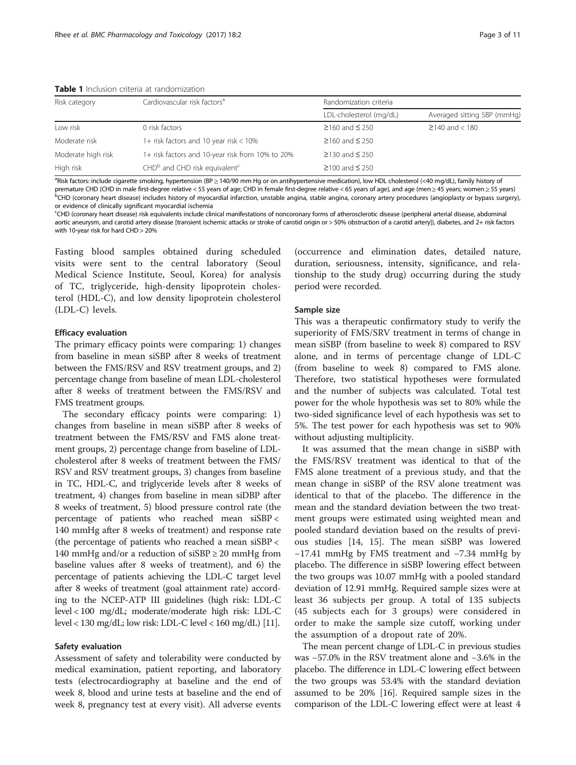<span id="page-2-0"></span>Table 1 Inclusion criteria at randomization

| Risk category      | Cardiovascular risk factors <sup>a</sup>              | Randomization criteria  |                             |  |
|--------------------|-------------------------------------------------------|-------------------------|-----------------------------|--|
|                    |                                                       | LDL-cholesterol (mg/dL) | Averaged sitting SBP (mmHg) |  |
| Low risk           | 0 risk factors                                        | $≥160$ and $≤250$       | $≥140$ and < 180            |  |
| Moderate risk      | 1+ risk factors and 10 year risk < 10%                | $≥160$ and $≤250$       |                             |  |
| Moderate high risk | 1+ risk factors and 10-year risk from 10% to 20%      | $≥130$ and $≤250$       |                             |  |
| High risk          | CHD <sup>b</sup> and CHD risk equivalent <sup>c</sup> | $≥100$ and $≤250$       |                             |  |

a<br>Risk factors: include cigarette smoking, hypertension (BP ≥ 140/90 mm Hg or on antihypertensive medication), low HDL cholesterol (<40 mg/dL), family history of premature CHD (CHD in male first-degree relative < 55 years of age; CHD in female first-degree relative < 65 years of age), and age (men > 45 years; women > 55 years) <sup>b</sup>CHD (coronary heart disease) includes history of myocardial infarction, unstable angina, stable angina, coronary artery procedures (angioplasty or bypass surgery), or evidence of clinically significant myocardial ischemia

c CHD (coronary heart disease) risk equivalents include clinical manifestations of noncoronary forms of atherosclerotic disease (peripheral arterial disease, abdominal aortic aneurysm, and carotid artery disease [transient ischemic attacks or stroke of carotid origin or > 50% obstruction of a carotid artery]), diabetes, and 2+ risk factors with 10-year risk for hard CHD > 20%

Fasting blood samples obtained during scheduled visits were sent to the central laboratory (Seoul Medical Science Institute, Seoul, Korea) for analysis of TC, triglyceride, high-density lipoprotein cholesterol (HDL-C), and low density lipoprotein cholesterol (LDL-C) levels.

# Efficacy evaluation

The primary efficacy points were comparing: 1) changes from baseline in mean siSBP after 8 weeks of treatment between the FMS/RSV and RSV treatment groups, and 2) percentage change from baseline of mean LDL-cholesterol after 8 weeks of treatment between the FMS/RSV and FMS treatment groups.

The secondary efficacy points were comparing: 1) changes from baseline in mean siSBP after 8 weeks of treatment between the FMS/RSV and FMS alone treatment groups, 2) percentage change from baseline of LDLcholesterol after 8 weeks of treatment between the FMS/ RSV and RSV treatment groups, 3) changes from baseline in TC, HDL-C, and triglyceride levels after 8 weeks of treatment, 4) changes from baseline in mean siDBP after 8 weeks of treatment, 5) blood pressure control rate (the percentage of patients who reached mean siSBP < 140 mmHg after 8 weeks of treatment) and response rate (the percentage of patients who reached a mean siSBP < 140 mmHg and/or a reduction of siSBP  $\geq$  20 mmHg from baseline values after 8 weeks of treatment), and 6) the percentage of patients achieving the LDL-C target level after 8 weeks of treatment (goal attainment rate) according to the NCEP-ATP III guidelines (high risk: LDL-C level < 100 mg/dL; moderate/moderate high risk: LDL-C level < 130 mg/dL; low risk: LDL-C level < 160 mg/dL) [[11](#page-9-0)].

# Safety evaluation

Assessment of safety and tolerability were conducted by medical examination, patient reporting, and laboratory tests (electrocardiography at baseline and the end of week 8, blood and urine tests at baseline and the end of week 8, pregnancy test at every visit). All adverse events (occurrence and elimination dates, detailed nature, duration, seriousness, intensity, significance, and relationship to the study drug) occurring during the study period were recorded.

## Sample size

This was a therapeutic confirmatory study to verify the superiority of FMS/SRV treatment in terms of change in mean siSBP (from baseline to week 8) compared to RSV alone, and in terms of percentage change of LDL-C (from baseline to week 8) compared to FMS alone. Therefore, two statistical hypotheses were formulated and the number of subjects was calculated. Total test power for the whole hypothesis was set to 80% while the two-sided significance level of each hypothesis was set to 5%. The test power for each hypothesis was set to 90% without adjusting multiplicity.

It was assumed that the mean change in siSBP with the FMS/RSV treatment was identical to that of the FMS alone treatment of a previous study, and that the mean change in siSBP of the RSV alone treatment was identical to that of the placebo. The difference in the mean and the standard deviation between the two treatment groups were estimated using weighted mean and pooled standard deviation based on the results of previous studies [\[14](#page-9-0), [15\]](#page-9-0). The mean siSBP was lowered −17.41 mmHg by FMS treatment and −7.34 mmHg by placebo. The difference in siSBP lowering effect between the two groups was 10.07 mmHg with a pooled standard deviation of 12.91 mmHg. Required sample sizes were at least 36 subjects per group. A total of 135 subjects (45 subjects each for 3 groups) were considered in order to make the sample size cutoff, working under the assumption of a dropout rate of 20%.

The mean percent change of LDL-C in previous studies was −57.0% in the RSV treatment alone and −3.6% in the placebo. The difference in LDL-C lowering effect between the two groups was 53.4% with the standard deviation assumed to be 20% [\[16\]](#page-9-0). Required sample sizes in the comparison of the LDL-C lowering effect were at least 4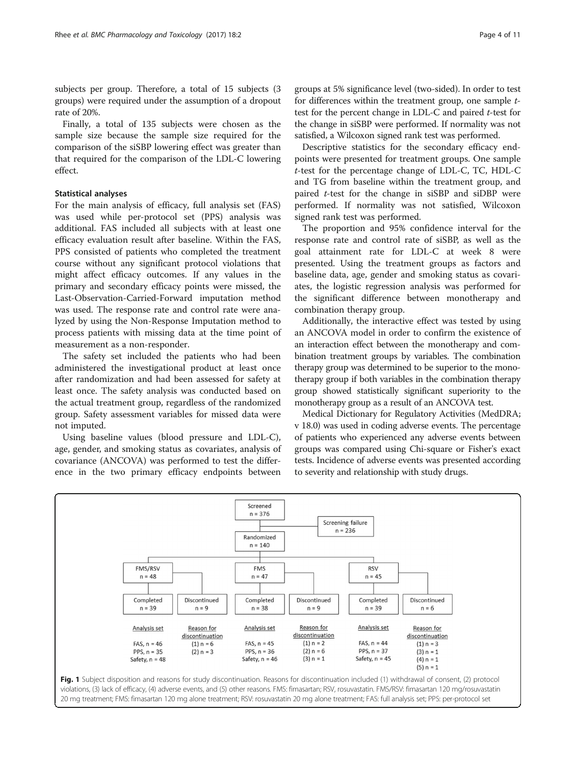<span id="page-3-0"></span>subjects per group. Therefore, a total of 15 subjects (3 groups) were required under the assumption of a dropout rate of 20%.

Finally, a total of 135 subjects were chosen as the sample size because the sample size required for the comparison of the siSBP lowering effect was greater than that required for the comparison of the LDL-C lowering effect.

# Statistical analyses

For the main analysis of efficacy, full analysis set (FAS) was used while per-protocol set (PPS) analysis was additional. FAS included all subjects with at least one efficacy evaluation result after baseline. Within the FAS, PPS consisted of patients who completed the treatment course without any significant protocol violations that might affect efficacy outcomes. If any values in the primary and secondary efficacy points were missed, the Last-Observation-Carried-Forward imputation method was used. The response rate and control rate were analyzed by using the Non-Response Imputation method to process patients with missing data at the time point of measurement as a non-responder.

The safety set included the patients who had been administered the investigational product at least once after randomization and had been assessed for safety at least once. The safety analysis was conducted based on the actual treatment group, regardless of the randomized group. Safety assessment variables for missed data were not imputed.

Using baseline values (blood pressure and LDL-C), age, gender, and smoking status as covariates, analysis of covariance (ANCOVA) was performed to test the difference in the two primary efficacy endpoints between groups at 5% significance level (two-sided). In order to test for differences within the treatment group, one sample ttest for the percent change in LDL-C and paired t-test for the change in siSBP were performed. If normality was not satisfied, a Wilcoxon signed rank test was performed.

Descriptive statistics for the secondary efficacy endpoints were presented for treatment groups. One sample t-test for the percentage change of LDL-C, TC, HDL-C and TG from baseline within the treatment group, and paired t-test for the change in siSBP and siDBP were performed. If normality was not satisfied, Wilcoxon signed rank test was performed.

The proportion and 95% confidence interval for the response rate and control rate of siSBP, as well as the goal attainment rate for LDL-C at week 8 were presented. Using the treatment groups as factors and baseline data, age, gender and smoking status as covariates, the logistic regression analysis was performed for the significant difference between monotherapy and combination therapy group.

Additionally, the interactive effect was tested by using an ANCOVA model in order to confirm the existence of an interaction effect between the monotherapy and combination treatment groups by variables. The combination therapy group was determined to be superior to the monotherapy group if both variables in the combination therapy group showed statistically significant superiority to the monotherapy group as a result of an ANCOVA test.

Medical Dictionary for Regulatory Activities (MedDRA; v 18.0) was used in coding adverse events. The percentage of patients who experienced any adverse events between groups was compared using Chi-square or Fisher's exact tests. Incidence of adverse events was presented according to severity and relationship with study drugs.

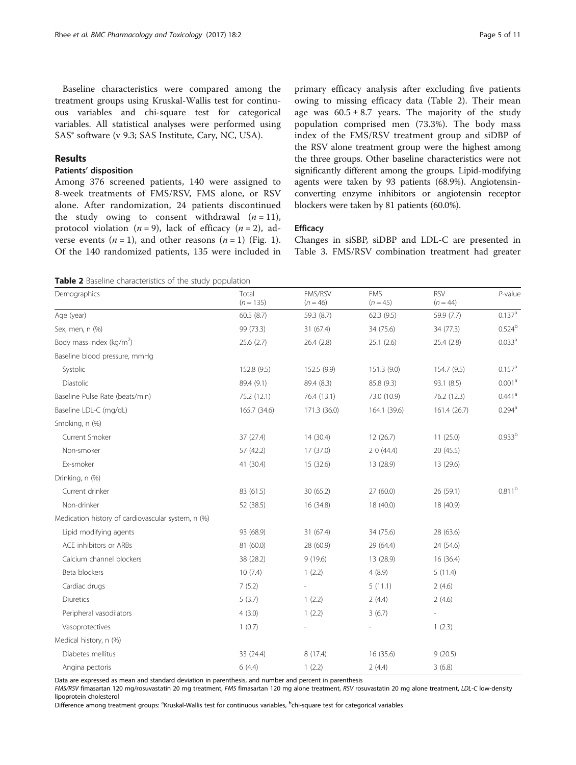Baseline characteristics were compared among the treatment groups using Kruskal-Wallis test for continuous variables and chi-square test for categorical variables. All statistical analyses were performed using SAS® software (v 9.3; SAS Institute, Cary, NC, USA).

# Results

## Patients' disposition

Among 376 screened patients, 140 were assigned to 8-week treatments of FMS/RSV, FMS alone, or RSV alone. After randomization, 24 patients discontinued the study owing to consent withdrawal  $(n = 11)$ , protocol violation ( $n = 9$ ), lack of efficacy ( $n = 2$ ), adverse events  $(n = 1)$  $(n = 1)$  $(n = 1)$ , and other reasons  $(n = 1)$  (Fig. 1). Of the 140 randomized patients, 135 were included in primary efficacy analysis after excluding five patients owing to missing efficacy data (Table 2). Their mean age was  $60.5 \pm 8.7$  years. The majority of the study population comprised men (73.3%). The body mass index of the FMS/RSV treatment group and siDBP of the RSV alone treatment group were the highest among the three groups. Other baseline characteristics were not significantly different among the groups. Lipid-modifying agents were taken by 93 patients (68.9%). Angiotensinconverting enzyme inhibitors or angiotensin receptor blockers were taken by 81 patients (60.0%).

# **Efficacy**

Changes in siSBP, siDBP and LDL-C are presented in Table [3.](#page-5-0) FMS/RSV combination treatment had greater

Table 2 Baseline characteristics of the study population

| Demographics                                       | Total<br>$(n = 135)$ | FMS/RSV<br>$(n = 46)$    | <b>FMS</b><br>$(n = 45)$ | <b>RSV</b><br>$(n = 44)$ | $P$ -value           |
|----------------------------------------------------|----------------------|--------------------------|--------------------------|--------------------------|----------------------|
| Age (year)                                         | 60.5(8.7)            | 59.3 (8.7)               | 62.3(9.5)                | 59.9 (7.7)               | $0.137$ <sup>a</sup> |
| Sex, men, n (%)                                    | 99 (73.3)            | 31 (67.4)                | 34 (75.6)                | 34 (77.3)                | 0.524 <sup>b</sup>   |
| Body mass index ( $kg/m2$ )                        | 25.6(2.7)            | 26.4(2.8)                | 25.1(2.6)                | 25.4(2.8)                | 0.033 <sup>a</sup>   |
| Baseline blood pressure, mmHg                      |                      |                          |                          |                          |                      |
| Systolic                                           | 152.8 (9.5)          | 152.5 (9.9)              | 151.3 (9.0)              | 154.7 (9.5)              | $0.157$ <sup>a</sup> |
| Diastolic                                          | 89.4 (9.1)           | 89.4 (8.3)               | 85.8 (9.3)               | 93.1 (8.5)               | 0.001 <sup>a</sup>   |
| Baseline Pulse Rate (beats/min)                    | 75.2 (12.1)          | 76.4 (13.1)              | 73.0 (10.9)              | 76.2 (12.3)              | $0.441$ <sup>a</sup> |
| Baseline LDL-C (mg/dL)                             | 165.7 (34.6)         | 171.3 (36.0)             | 164.1 (39.6)             | 161.4 (26.7)             | $0.294$ <sup>a</sup> |
| Smoking, n (%)                                     |                      |                          |                          |                          |                      |
| Current Smoker                                     | 37 (27.4)            | 14 (30.4)                | 12 (26.7)                | 11(25.0)                 | 0.933 <sup>b</sup>   |
| Non-smoker                                         | 57 (42.2)            | 17 (37.0)                | 20(44.4)                 | 20(45.5)                 |                      |
| Ex-smoker                                          | 41 (30.4)            | 15 (32.6)                | 13 (28.9)                | 13 (29.6)                |                      |
| Drinking, n (%)                                    |                      |                          |                          |                          |                      |
| Current drinker                                    | 83 (61.5)            | 30 (65.2)                | 27 (60.0)                | 26 (59.1)                | 0.811 <sup>b</sup>   |
| Non-drinker                                        | 52 (38.5)            | 16 (34.8)                | 18 (40.0)                | 18 (40.9)                |                      |
| Medication history of cardiovascular system, n (%) |                      |                          |                          |                          |                      |
| Lipid modifying agents                             | 93 (68.9)            | 31 (67.4)                | 34 (75.6)                | 28 (63.6)                |                      |
| ACE inhibitors or ARBs                             | 81 (60.0)            | 28 (60.9)                | 29 (64.4)                | 24 (54.6)                |                      |
| Calcium channel blockers                           | 38 (28.2)            | 9(19.6)                  | 13 (28.9)                | 16(36.4)                 |                      |
| Beta blockers                                      | 10(7.4)              | 1(2.2)                   | 4(8.9)                   | 5(11.4)                  |                      |
| Cardiac drugs                                      | 7(5.2)               | $\overline{\phantom{0}}$ | 5(11.1)                  | 2(4.6)                   |                      |
| Diuretics                                          | 5(3.7)               | 1(2.2)                   | 2(4.4)                   | 2(4.6)                   |                      |
| Peripheral vasodilators                            | 4(3.0)               | 1(2.2)                   | 3(6.7)                   | ÷,                       |                      |
| Vasoprotectives                                    | 1(0.7)               |                          |                          | 1(2.3)                   |                      |
| Medical history, n (%)                             |                      |                          |                          |                          |                      |
| Diabetes mellitus                                  | 33 (24.4)            | 8 (17.4)                 | 16 (35.6)                | 9(20.5)                  |                      |
| Angina pectoris                                    | 6(4.4)               | 1(2.2)                   | 2(4.4)                   | 3(6.8)                   |                      |

Data are expressed as mean and standard deviation in parenthesis, and number and percent in parenthesis

FMS/RSV fimasartan 120 mg/rosuvastatin 20 mg treatment, FMS fimasartan 120 mg alone treatment, RSV rosuvastatin 20 mg alone treatment, LDL-C low-density lipoprotein cholesterol

Difference among treatment groups: <sup>a</sup>Kruskal-Wallis test for continuous variables, <sup>b</sup>chi-square test for categorical variables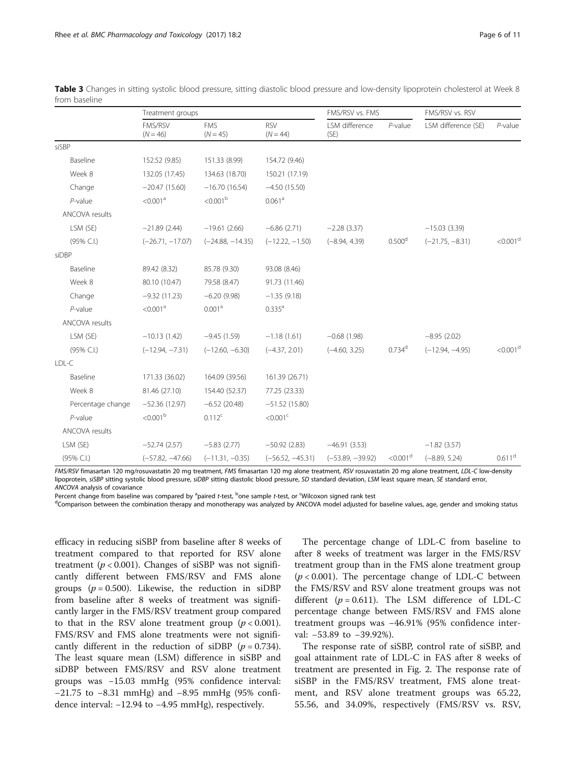|                   | Treatment groups      |                          | FMS/RSV vs. FMS          |                        | FMS/RSV vs. RSV        |                     |                      |
|-------------------|-----------------------|--------------------------|--------------------------|------------------------|------------------------|---------------------|----------------------|
|                   | FMS/RSV<br>$(N = 46)$ | <b>FMS</b><br>$(N = 45)$ | <b>RSV</b><br>$(N = 44)$ | LSM difference<br>(SE) | $P$ -value             | LSM difference (SE) | $P$ -value           |
| siSBP             |                       |                          |                          |                        |                        |                     |                      |
| Baseline          | 152.52 (9.85)         | 151.33 (8.99)            | 154.72 (9.46)            |                        |                        |                     |                      |
| Week 8            | 132.05 (17.45)        | 134.63 (18.70)           | 150.21 (17.19)           |                        |                        |                     |                      |
| Change            | $-20.47(15.60)$       | $-16.70(16.54)$          | $-4.50(15.50)$           |                        |                        |                     |                      |
| $P$ -value        | < 0.001 <sup>a</sup>  | < 0.001 <sup>b</sup>     | 0.061 <sup>a</sup>       |                        |                        |                     |                      |
| ANCOVA results    |                       |                          |                          |                        |                        |                     |                      |
| LSM (SE)          | $-21.89(2.44)$        | $-19.61(2.66)$           | $-6.86(2.71)$            | $-2.28(3.37)$          |                        | $-15.03(3.39)$      |                      |
| (95% C.I.)        | $(-26.71, -17.07)$    | $(-24.88, -14.35)$       | $(-12.22, -1.50)$        | $(-8.94, 4.39)$        | 0.500 <sup>d</sup>     | $(-21.75, -8.31)$   | < 0.001 <sup>d</sup> |
| siDBP             |                       |                          |                          |                        |                        |                     |                      |
| Baseline          | 89.42 (8.32)          | 85.78 (9.30)             | 93.08 (8.46)             |                        |                        |                     |                      |
| Week 8            | 80.10 (10.47)         | 79.58 (8.47)             | 91.73 (11.46)            |                        |                        |                     |                      |
| Change            | $-9.32(11.23)$        | $-6.20(9.98)$            | $-1.35(9.18)$            |                        |                        |                     |                      |
| $P$ -value        | < 0.001 <sup>a</sup>  | 0.001 <sup>a</sup>       | 0.335 <sup>a</sup>       |                        |                        |                     |                      |
| ANCOVA results    |                       |                          |                          |                        |                        |                     |                      |
| LSM (SE)          | $-10.13(1.42)$        | $-9.45(1.59)$            | $-1.18(1.61)$            | $-0.68(1.98)$          |                        | $-8.95(2.02)$       |                      |
| $(95\%$ C.I.)     | $(-12.94, -7.31)$     | $(-12.60, -6.30)$        | $(-4.37, 2.01)$          | $(-4.60, 3.25)$        | 0.734 <sup>d</sup>     | $(-12.94, -4.95)$   | < 0.001 <sup>d</sup> |
| LDL-C             |                       |                          |                          |                        |                        |                     |                      |
| Baseline          | 171.33 (36.02)        | 164.09 (39.56)           | 161.39 (26.71)           |                        |                        |                     |                      |
| Week 8            | 81.46 (27.10)         | 154.40 (52.37)           | 77.25 (23.33)            |                        |                        |                     |                      |
| Percentage change | $-52.36(12.97)$       | $-6.52(20.48)$           | $-51.52(15.80)$          |                        |                        |                     |                      |
| $P$ -value        | $< 0.001^{\rm b}$     | $0.112^c$                | $< 0.001$ <sup>c</sup>   |                        |                        |                     |                      |
| ANCOVA results    |                       |                          |                          |                        |                        |                     |                      |
| LSM (SE)          | $-52.74(2.57)$        | $-5.83(2.77)$            | $-50.92(2.83)$           | $-46.91(3.53)$         |                        | $-1.82(3.57)$       |                      |
| (95% C.I.)        | $(-57.82, -47.66)$    | $(-11.31, -0.35)$        | $(-56.52, -45.31)$       | $(-53.89, -39.92)$     | $< 0.001$ <sup>d</sup> | $(-8.89, 5.24)$     | 0.611 <sup>d</sup>   |

<span id="page-5-0"></span>Table 3 Changes in sitting systolic blood pressure, sitting diastolic blood pressure and low-density lipoprotein cholesterol at Week 8 from baseline

FMS/RSV fimasartan 120 mg/rosuvastatin 20 mg treatment, FMS fimasartan 120 mg alone treatment, RSV rosuvastatin 20 mg alone treatment, LDL-C low-density lipoprotein, siSBP sitting systolic blood pressure, siDBP sitting diastolic blood pressure, SD standard deviation, LSM least square mean, SE standard error, ANCOVA analysis of covariance

Percent change from baseline was compared by <sup>a</sup>paired *t*-test, <sup>b</sup>one sample *t*-test, or <sup>c</sup>Wilcoxon signed rank test<br><sup>d</sup>Comparison between the combination therapy and monotherapy was analyzed by ANCOVA model adjusted f

<sup>d</sup>Comparison between the combination therapy and monotherapy was analyzed by ANCOVA model adjusted for baseline values, age, gender and smoking status

efficacy in reducing siSBP from baseline after 8 weeks of treatment compared to that reported for RSV alone treatment ( $p < 0.001$ ). Changes of siSBP was not significantly different between FMS/RSV and FMS alone groups ( $p = 0.500$ ). Likewise, the reduction in siDBP from baseline after 8 weeks of treatment was significantly larger in the FMS/RSV treatment group compared to that in the RSV alone treatment group  $(p < 0.001)$ . FMS/RSV and FMS alone treatments were not significantly different in the reduction of siDBP ( $p = 0.734$ ). The least square mean (LSM) difference in siSBP and siDBP between FMS/RSV and RSV alone treatment groups was −15.03 mmHg (95% confidence interval: −21.75 to −8.31 mmHg) and −8.95 mmHg (95% confidence interval: −12.94 to −4.95 mmHg), respectively.

The percentage change of LDL-C from baseline to after 8 weeks of treatment was larger in the FMS/RSV treatment group than in the FMS alone treatment group  $(p < 0.001)$ . The percentage change of LDL-C between the FMS/RSV and RSV alone treatment groups was not different ( $p = 0.611$ ). The LSM difference of LDL-C percentage change between FMS/RSV and FMS alone treatment groups was −46.91% (95% confidence interval: −53.89 to −39.92%).

The response rate of siSBP, control rate of siSBP, and goal attainment rate of LDL-C in FAS after 8 weeks of treatment are presented in Fig. [2.](#page-6-0) The response rate of siSBP in the FMS/RSV treatment, FMS alone treatment, and RSV alone treatment groups was 65.22, 55.56, and 34.09%, respectively (FMS/RSV vs. RSV,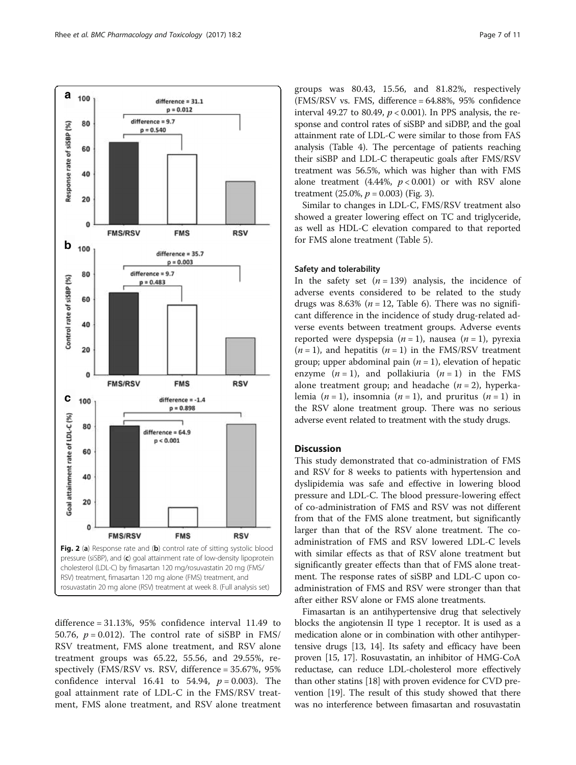<span id="page-6-0"></span>

difference = 31.13%, 95% confidence interval 11.49 to 50.76,  $p = 0.012$ ). The control rate of siSBP in FMS/ RSV treatment, FMS alone treatment, and RSV alone treatment groups was 65.22, 55.56, and 29.55%, respectively (FMS/RSV vs. RSV, difference = 35.67%, 95% confidence interval 16.41 to 54.94,  $p = 0.003$ ). The goal attainment rate of LDL-C in the FMS/RSV treatment, FMS alone treatment, and RSV alone treatment groups was 80.43, 15.56, and 81.82%, respectively (FMS/RSV vs. FMS, difference = 64.88%, 95% confidence interval 49.27 to 80.49,  $p < 0.001$ ). In PPS analysis, the response and control rates of siSBP and siDBP, and the goal attainment rate of LDL-C were similar to those from FAS analysis (Table [4](#page-7-0)). The percentage of patients reaching their siSBP and LDL-C therapeutic goals after FMS/RSV treatment was 56.5%, which was higher than with FMS alone treatment (4.44%,  $p < 0.001$ ) or with RSV alone treatment  $(25.0\%, p = 0.003)$  (Fig. [3\)](#page-7-0).

Similar to changes in LDL-C, FMS/RSV treatment also showed a greater lowering effect on TC and triglyceride, as well as HDL-C elevation compared to that reported for FMS alone treatment (Table [5](#page-8-0)).

## Safety and tolerability

In the safety set  $(n = 139)$  analysis, the incidence of adverse events considered to be related to the study drugs was 8.63% ( $n = 12$ , Table [6\)](#page-8-0). There was no significant difference in the incidence of study drug-related adverse events between treatment groups. Adverse events reported were dyspepsia  $(n = 1)$ , nausea  $(n = 1)$ , pyrexia  $(n = 1)$ , and hepatitis  $(n = 1)$  in the FMS/RSV treatment group; upper abdominal pain  $(n = 1)$ , elevation of hepatic enzyme  $(n = 1)$ , and pollakiuria  $(n = 1)$  in the FMS alone treatment group; and headache  $(n = 2)$ , hyperkalemia  $(n = 1)$ , insomnia  $(n = 1)$ , and pruritus  $(n = 1)$  in the RSV alone treatment group. There was no serious adverse event related to treatment with the study drugs.

# **Discussion**

This study demonstrated that co-administration of FMS and RSV for 8 weeks to patients with hypertension and dyslipidemia was safe and effective in lowering blood pressure and LDL-C. The blood pressure-lowering effect of co-administration of FMS and RSV was not different from that of the FMS alone treatment, but significantly larger than that of the RSV alone treatment. The coadministration of FMS and RSV lowered LDL-C levels with similar effects as that of RSV alone treatment but significantly greater effects than that of FMS alone treatment. The response rates of siSBP and LDL-C upon coadministration of FMS and RSV were stronger than that after either RSV alone or FMS alone treatments.

Fimasartan is an antihypertensive drug that selectively blocks the angiotensin II type 1 receptor. It is used as a medication alone or in combination with other antihypertensive drugs [[13](#page-9-0), [14](#page-9-0)]. Its safety and efficacy have been proven [\[15, 17](#page-9-0)]. Rosuvastatin, an inhibitor of HMG-CoA reductase, can reduce LDL-cholesterol more effectively than other statins [[18\]](#page-9-0) with proven evidence for CVD prevention [\[19\]](#page-9-0). The result of this study showed that there was no interference between fimasartan and rosuvastatin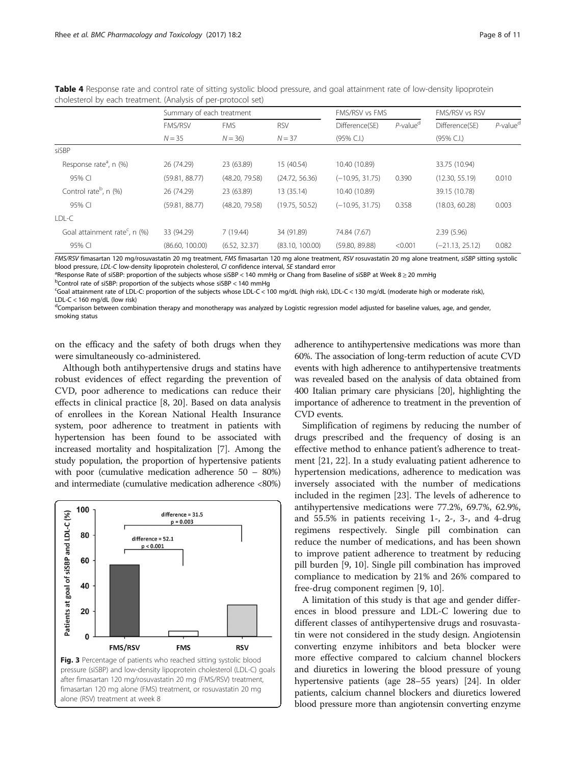| cholesterol by each treatment. (Analysis of per-protocol set) |                           |                          |                 |                         |                |                         |       |
|---------------------------------------------------------------|---------------------------|--------------------------|-----------------|-------------------------|----------------|-------------------------|-------|
|                                                               | Summary of each treatment |                          |                 | FMS/RSV vs FMS          |                | <b>FMS/RSV vs RSV</b>   |       |
|                                                               | <b>FMS/RSV</b>            | <b>RSV</b><br><b>FMS</b> | Difference(SE)  | $P$ -value <sup>d</sup> | Difference(SE) | $P$ -value <sup>d</sup> |       |
|                                                               | $N = 35$                  | $N = 36$                 | $N = 37$        | (95% C.l.)              |                | $(95\% \text{ C.}I)$    |       |
| siSBP                                                         |                           |                          |                 |                         |                |                         |       |
| Response rate <sup>a</sup> , n (%)                            | 26 (74.29)                | 23 (63.89)               | 15 (40.54)      | 10.40 (10.89)           |                | 33.75 (10.94)           |       |
| 95% CI                                                        | (59.81, 88.77)            | (48.20, 79.58)           | (24.72, 56.36)  | $(-10.95, 31.75)$       | 0.390          | (12.30, 55.19)          | 0.010 |
| Control rate <sup>b</sup> , n (%)                             | 26 (74.29)                | 23 (63.89)               | 13 (35.14)      | 10.40 (10.89)           |                | 39.15 (10.78)           |       |
| 95% CI                                                        | (59.81, 88.77)            | (48.20, 79.58)           | (19.75, 50.52)  | $(-10.95, 31.75)$       | 0.358          | (18.03, 60.28)          | 0.003 |
| LDL-C                                                         |                           |                          |                 |                         |                |                         |       |
| Goal attainment rate <sup>c</sup> , n (%)                     | 33 (94.29)                | 7(19.44)                 | 34 (91.89)      | 74.84 (7.67)            |                | 2.39(5.96)              |       |
| 95% CI                                                        | (86.60, 100.00)           | (6.52, 32.37)            | (83.10, 100.00) | (59.80, 89.88)          | < 0.001        | $(-21.13, 25.12)$       | 0.082 |

<span id="page-7-0"></span>Table 4 Response rate and control rate of sitting systolic blood pressure, and goal attainment rate of low-density lipoprotein

FMS/RSV fimasartan 120 mg/rosuvastatin 20 mg treatment, FMS fimasartan 120 mg alone treatment, RSV rosuvastatin 20 mg alone treatment, siSBP sitting systolic blood pressure, LDL-C low-density lipoprotein cholesterol, CI confidence interval, SE standard error

a<br>Response Rate of siSBP: proportion of the subjects whose siSBP < 140 mmHg or Chang from Baseline of siSBP at Week 8 ≥ 20 mmHg

Control rate of siSBP: proportion of the subjects whose siSBP < 140 mmHg

c Goal attainment rate of LDL-C: proportion of the subjects whose LDL-C < 100 mg/dL (high risk), LDL-C < 130 mg/dL (moderate high or moderate risk), LDL-C < 160 mg/dL (low risk)

d<br>Comparison between combination therapy and monotherapy was analyzed by Logistic regression model adjusted for baseline values, age, and gender, smoking status

on the efficacy and the safety of both drugs when they were simultaneously co-administered.

Although both antihypertensive drugs and statins have robust evidences of effect regarding the prevention of CVD, poor adherence to medications can reduce their effects in clinical practice [[8](#page-9-0), [20\]](#page-9-0). Based on data analysis of enrollees in the Korean National Health Insurance system, poor adherence to treatment in patients with hypertension has been found to be associated with increased mortality and hospitalization [[7](#page-9-0)]. Among the study population, the proportion of hypertensive patients with poor (cumulative medication adherence 50 – 80%) and intermediate (cumulative medication adherence <80%)



adherence to antihypertensive medications was more than 60%. The association of long-term reduction of acute CVD events with high adherence to antihypertensive treatments was revealed based on the analysis of data obtained from 400 Italian primary care physicians [[20](#page-9-0)], highlighting the importance of adherence to treatment in the prevention of CVD events.

Simplification of regimens by reducing the number of drugs prescribed and the frequency of dosing is an effective method to enhance patient's adherence to treatment [\[21, 22\]](#page-10-0). In a study evaluating patient adherence to hypertension medications, adherence to medication was inversely associated with the number of medications included in the regimen [\[23](#page-10-0)]. The levels of adherence to antihypertensive medications were 77.2%, 69.7%, 62.9%, and 55.5% in patients receiving 1-, 2-, 3-, and 4-drug regimens respectively. Single pill combination can reduce the number of medications, and has been shown to improve patient adherence to treatment by reducing pill burden [\[9](#page-9-0), [10](#page-9-0)]. Single pill combination has improved compliance to medication by 21% and 26% compared to free-drug component regimen [\[9](#page-9-0), [10](#page-9-0)].

A limitation of this study is that age and gender differences in blood pressure and LDL-C lowering due to different classes of antihypertensive drugs and rosuvastatin were not considered in the study design. Angiotensin converting enzyme inhibitors and beta blocker were more effective compared to calcium channel blockers and diuretics in lowering the blood pressure of young hypertensive patients (age 28–55 years) [\[24\]](#page-10-0). In older patients, calcium channel blockers and diuretics lowered blood pressure more than angiotensin converting enzyme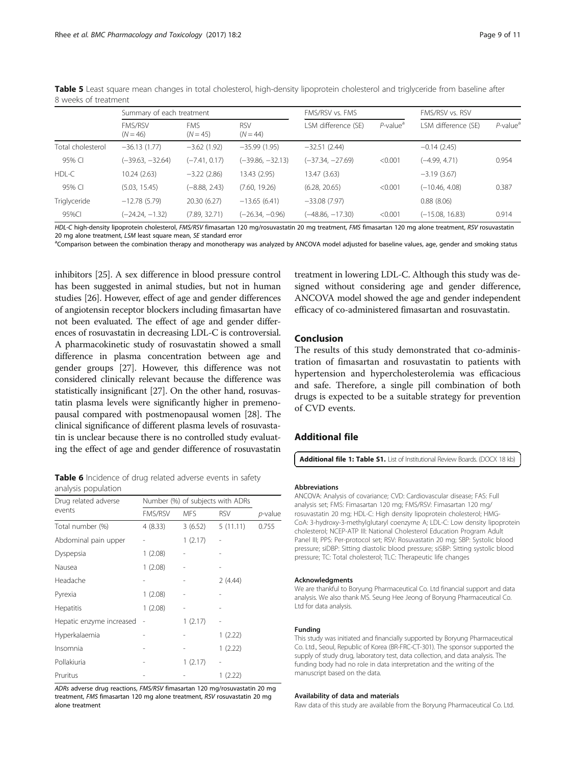|                   | Summary of each treatment    |                          |                          | FMS/RSV vs. FMS     |                         |                     |                         |
|-------------------|------------------------------|--------------------------|--------------------------|---------------------|-------------------------|---------------------|-------------------------|
|                   | <b>FMS/RSV</b><br>$(N = 46)$ | <b>FMS</b><br>$(N = 45)$ | <b>RSV</b><br>$(N = 44)$ | LSM difference (SE) | $P$ -value <sup>a</sup> | LSM difference (SE) | $P$ -value <sup>a</sup> |
| Total cholesterol | $-36.13(1.77)$               | $-3.62(1.92)$            | $-35.99(1.95)$           | $-32.51(2.44)$      |                         | $-0.14(2.45)$       |                         |
| 95% CI            | $(-39.63, -32.64)$           | $(-7.41, 0.17)$          | $(-39.86, -32.13)$       | $(-37.34, -27.69)$  | < 0.001                 | $(-4.99, 4.71)$     | 0.954                   |
| HDL-C             | 10.24 (2.63)                 | $-3.22(2.86)$            | 13.43 (2.95)             | 13.47 (3.63)        |                         | $-3.19(3.67)$       |                         |
| 95% CI            | (5.03, 15.45)                | $(-8.88, 2.43)$          | (7.60, 19.26)            | (6.28, 20.65)       | < 0.001                 | $(-10.46, 4.08)$    | 0.387                   |
| Triglyceride      | $-12.78(5.79)$               | 20.30 (6.27)             | $-13.65(6.41)$           | $-33.08(7.97)$      |                         | 0.88(8.06)          |                         |
| 95%CI             | (–24.24, –1.32)              | (7.89, 32.71)            | (–26.34, –0.96)          | $(-48.86, -17.30)$  | < 0.001                 | $(-15.08, 16.83)$   | 0.914                   |

<span id="page-8-0"></span>Table 5 Least square mean changes in total cholesterol, high-density lipoprotein cholesterol and triglyceride from baseline after 8 weeks of treatment

HDL-C high-density lipoprotein cholesterol, FMS/RSV fimasartan 120 mg/rosuvastatin 20 mg treatment, FMS fimasartan 120 mg alone treatment, RSV rosuvastatin 20 mg alone treatment, LSM least square mean, SE standard error

<sup>a</sup>Comparison between the combination therapy and monotherapy was analyzed by ANCOVA model adjusted for baseline values, age, gender and smoking status

inhibitors [\[25](#page-10-0)]. A sex difference in blood pressure control has been suggested in animal studies, but not in human studies [\[26\]](#page-10-0). However, effect of age and gender differences of angiotensin receptor blockers including fimasartan have not been evaluated. The effect of age and gender differences of rosuvastatin in decreasing LDL-C is controversial. A pharmacokinetic study of rosuvastatin showed a small difference in plasma concentration between age and gender groups [\[27\]](#page-10-0). However, this difference was not considered clinically relevant because the difference was statistically insignificant [\[27\]](#page-10-0). On the other hand, rosuvastatin plasma levels were significantly higher in premenopausal compared with postmenopausal women [[28\]](#page-10-0). The clinical significance of different plasma levels of rosuvastatin is unclear because there is no controlled study evaluating the effect of age and gender difference of rosuvastatin

| Table 6 Incidence of drug related adverse events in safety |  |  |  |
|------------------------------------------------------------|--|--|--|
| analysis population                                        |  |  |  |

| Drug related adverse     | Number (%) of subjects with ADRs |            |                 |                 |
|--------------------------|----------------------------------|------------|-----------------|-----------------|
| events                   | <b>FMS/RSV</b>                   | <b>MFS</b> | <b>RSV</b>      | <i>p</i> -value |
| Total number (%)         | 4(8.33)                          | 3(6.52)    | 5(11.11)        | 0.755           |
| Abdominal pain upper     |                                  | 1(2.17)    | $\overline{a}$  |                 |
| Dyspepsia                | 1(2.08)                          |            |                 |                 |
| Nausea                   | 1(2.08)                          |            |                 |                 |
| Headache                 |                                  |            | 2(4.44)         |                 |
| Pyrexia                  | 1(2.08)                          |            |                 |                 |
| <b>Hepatitis</b>         | 1(2.08)                          |            |                 |                 |
| Hepatic enzyme increased |                                  | 1(2.17)    |                 |                 |
| Hyperkalaemia            |                                  |            | 1(2.22)         |                 |
| Insomnia                 |                                  |            | 1(2.22)         |                 |
| Pollakiuria              |                                  | 1(2.17)    | $\qquad \qquad$ |                 |
| Pruritus                 |                                  |            | 1(2.22)         |                 |

ADRs adverse drug reactions, FMS/RSV fimasartan 120 mg/rosuvastatin 20 mg treatment, FMS fimasartan 120 mg alone treatment, RSV rosuvastatin 20 mg alone treatment

treatment in lowering LDL-C. Although this study was designed without considering age and gender difference, ANCOVA model showed the age and gender independent efficacy of co-administered fimasartan and rosuvastatin.

# Conclusion

The results of this study demonstrated that co-administration of fimasartan and rosuvastatin to patients with hypertension and hypercholesterolemia was efficacious and safe. Therefore, a single pill combination of both drugs is expected to be a suitable strategy for prevention of CVD events.

# Additional file

[Additional file 1: Table S1.](dx.doi.org/10.1186/s40360-016-0112-7) List of Institutional Review Boards. (DOCX 18 kb)

#### Abbreviations

ANCOVA: Analysis of covariance; CVD: Cardiovascular disease; FAS: Full analysis set; FMS: Fimasartan 120 mg; FMS/RSV: Fimasartan 120 mg/ rosuvastatin 20 mg; HDL-C: High density lipoprotein cholesterol; HMG-CoA: 3-hydroxy-3-methylglutaryl coenzyme A; LDL-C: Low density lipoprotein cholesterol; NCEP-ATP III: National Cholesterol Education Program Adult Panel III; PPS: Per-protocol set; RSV: Rosuvastatin 20 mg; SBP: Systolic blood pressure; siDBP: Sitting diastolic blood pressure; siSBP: Sitting systolic blood pressure; TC: Total cholesterol; TLC: Therapeutic life changes

#### Acknowledgments

We are thankful to Boryung Pharmaceutical Co. Ltd financial support and data analysis. We also thank MS. Seung Hee Jeong of Boryung Pharmaceutical Co. Ltd for data analysis.

## Funding

This study was initiated and financially supported by Boryung Pharmaceutical Co. Ltd., Seoul, Republic of Korea (BR-FRC-CT-301). The sponsor supported the supply of study drug, laboratory test, data collection, and data analysis. The funding body had no role in data interpretation and the writing of the manuscript based on the data.

## Availability of data and materials

Raw data of this study are available from the Boryung Pharmaceutical Co. Ltd.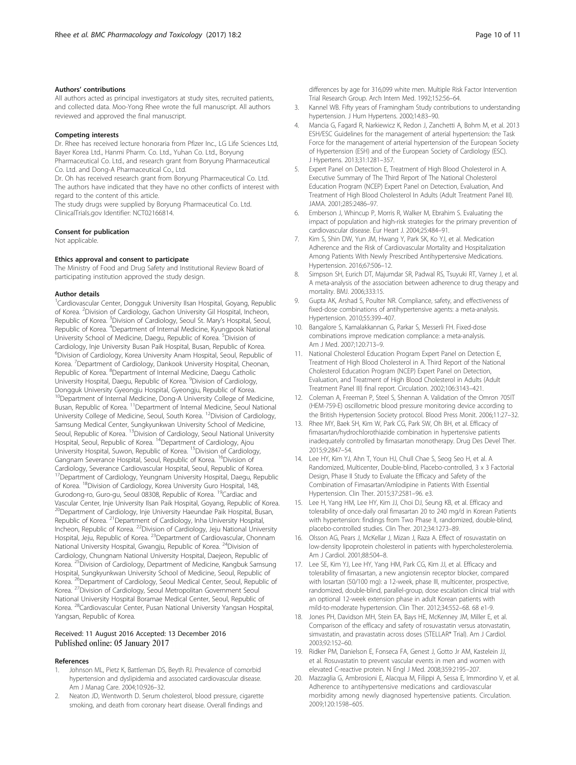## <span id="page-9-0"></span>Authors' contributions

All authors acted as principal investigators at study sites, recruited patients, and collected data. Moo-Yong Rhee wrote the full manuscript. All authors reviewed and approved the final manuscript.

#### Competing interests

Dr. Rhee has received lecture honoraria from Pfizer Inc., LG Life Sciences Ltd, Bayer Korea Ltd., Hanmi Pharm. Co. Ltd., Yuhan Co. Ltd., Boryung Pharmaceutical Co. Ltd., and research grant from Boryung Pharmaceutical Co. Ltd. and Dong-A Pharmaceutical Co., Ltd.

Dr. Oh has received research grant from Boryung Pharmaceutical Co. Ltd. The authors have indicated that they have no other conflicts of interest with regard to the content of this article.

The study drugs were supplied by Boryung Pharmaceutical Co. Ltd. ClinicalTrials.gov Identifier: NCT02166814.

## Consent for publication

Not applicable.

#### Ethics approval and consent to participate

The Ministry of Food and Drug Safety and Institutional Review Board of participating institution approved the study design.

#### Author details

<sup>1</sup>Cardiovascular Center, Dongguk University Ilsan Hospital, Goyang, Republic of Korea. <sup>2</sup> Division of Cardiology, Gachon University Gil Hospital, Incheon, Republic of Korea. <sup>3</sup>Division of Cardiology, Seoul St. Mary's Hospital, Seoul, Republic of Korea. <sup>4</sup> Department of Internal Medicine, Kyungpook National University School of Medicine, Daegu, Republic of Korea. <sup>5</sup> Division of Cardiology, Inje University Busan Paik Hospital, Busan, Republic of Korea. 6 Division of Cardiology, Korea University Anam Hospital, Seoul, Republic of Korea. <sup>7</sup> Department of Cardiology, Dankook University Hospital, Cheonan, Republic of Korea. <sup>8</sup>Department of Internal Medicine, Daegu Catholic University Hospital, Daegu, Republic of Korea. <sup>9</sup>Division of Cardiology, Dongguk University Gyeongju Hospital, Gyeongju, Republic of Korea. <sup>10</sup>Department of Internal Medicine, Dong-A University College of Medicine, Busan, Republic of Korea. 11Department of Internal Medicine, Seoul National University College of Medicine, Seoul, South Korea. 12Division of Cardiology, Samsung Medical Center, Sungkyunkwan University School of Medicine, Seoul, Republic of Korea. <sup>13</sup>Division of Cardiology, Seoul National University Hospital, Seoul, Republic of Korea. 14Department of Cardiology, Ajou University Hospital, Suwon, Republic of Korea. <sup>15</sup>Division of Cardiology, Gangnam Severance Hospital, Seoul, Republic of Korea. <sup>16</sup>Division of Cardiology, Severance Cardiovascular Hospital, Seoul, Republic of Korea. <sup>17</sup>Department of Cardiology, Yeungnam University Hospital, Daegu, Republic of Korea. <sup>18</sup>Division of Cardiology, Korea University Guro Hospital, 148, Gurodong-ro, Guro-gu, Seoul 08308, Republic of Korea. <sup>19</sup>Cardiac and Vascular Center, Inje University Ilsan Paik Hospital, Goyang, Republic of Korea. <sup>20</sup>Department of Cardiology, Inje University Haeundae Paik Hospital, Busan, Republic of Korea. 21Department of Cardiology, Inha University Hospital, Incheon, Republic of Korea. <sup>22</sup>Division of Cardiology, Jeju National University Hospital, Jeju, Republic of Korea. <sup>23</sup>Department of Cardiovascular, Chonnam National University Hospital, Gwangju, Republic of Korea. <sup>24</sup>Division of Cardiology, Chungnam National University Hospital, Daejeon, Republic of Korea. 25Division of Cardiology, Department of Medicine, Kangbuk Samsung Hospital, Sungkyunkwan University School of Medicine, Seoul, Republic of Korea. <sup>26</sup>Department of Cardiology, Seoul Medical Center, Seoul, Republic of Korea. <sup>27</sup>Division of Cardiology, Seoul Metropolitan Government Seoul National University Hospital Boramae Medical Center, Seoul, Republic of Korea. 28Cardiovascular Center, Pusan National University Yangsan Hospital, Yangsan, Republic of Korea.

## Received: 11 August 2016 Accepted: 13 December 2016 Published online: 05 January 2017

#### References

- Johnson ML, Pietz K, Battleman DS, Beyth RJ. Prevalence of comorbid hypertension and dyslipidemia and associated cardiovascular disease. Am J Manag Care. 2004;10:926–32.
- 2. Neaton JD, Wentworth D. Serum cholesterol, blood pressure, cigarette smoking, and death from coronary heart disease. Overall findings and

differences by age for 316,099 white men. Multiple Risk Factor Intervention Trial Research Group. Arch Intern Med. 1992;152:56–64.

- 3. Kannel WB. Fifty years of Framingham Study contributions to understanding hypertension. J Hum Hypertens. 2000;14:83–90.
- 4. Mancia G, Fagard R, Narkiewicz K, Redon J, Zanchetti A, Bohm M, et al. 2013 ESH/ESC Guidelines for the management of arterial hypertension: the Task Force for the management of arterial hypertension of the European Society of Hypertension (ESH) and of the European Society of Cardiology (ESC). J Hypertens. 2013;31:1281–357.
- 5. Expert Panel on Detection E, Treatment of High Blood Cholesterol in A. Executive Summary of The Third Report of The National Cholesterol Education Program (NCEP) Expert Panel on Detection, Evaluation, And Treatment of High Blood Cholesterol In Adults (Adult Treatment Panel III). JAMA. 2001;285:2486–97.
- 6. Emberson J, Whincup P, Morris R, Walker M, Ebrahim S. Evaluating the impact of population and high-risk strategies for the primary prevention of cardiovascular disease. Eur Heart J. 2004;25:484–91.
- 7. Kim S, Shin DW, Yun JM, Hwang Y, Park SK, Ko YJ, et al. Medication Adherence and the Risk of Cardiovascular Mortality and Hospitalization Among Patients With Newly Prescribed Antihypertensive Medications. Hypertension. 2016;67:506–12.
- 8. Simpson SH, Eurich DT, Majumdar SR, Padwal RS, Tsuyuki RT, Varney J, et al. A meta-analysis of the association between adherence to drug therapy and mortality. BMJ. 2006;333:15.
- Gupta AK, Arshad S, Poulter NR. Compliance, safety, and effectiveness of fixed-dose combinations of antihypertensive agents: a meta-analysis. Hypertension. 2010;55:399–407.
- 10. Bangalore S, Kamalakkannan G, Parkar S, Messerli FH. Fixed-dose combinations improve medication compliance: a meta-analysis. Am J Med. 2007;120:713–9.
- 11. National Cholesterol Education Program Expert Panel on Detection E, Treatment of High Blood Cholesterol in A. Third Report of the National Cholesterol Education Program (NCEP) Expert Panel on Detection, Evaluation, and Treatment of High Blood Cholesterol in Adults (Adult Treatment Panel III) final report. Circulation. 2002;106:3143–421.
- 12. Coleman A, Freeman P, Steel S, Shennan A. Validation of the Omron 705IT (HEM-759-E) oscillometric blood pressure monitoring device according to the British Hypertension Society protocol. Blood Press Monit. 2006;11:27–32.
- 13. Rhee MY, Baek SH, Kim W, Park CG, Park SW, Oh BH, et al. Efficacy of fimasartan/hydrochlorothiazide combination in hypertensive patients inadequately controlled by fimasartan monotherapy. Drug Des Devel Ther. 2015;9:2847–54.
- 14. Lee HY, Kim YJ, Ahn T, Youn HJ, Chull Chae S, Seog Seo H, et al. A Randomized, Multicenter, Double-blind, Placebo-controlled, 3 x 3 Factorial Design, Phase II Study to Evaluate the Efficacy and Safety of the Combination of Fimasartan/Amlodipine in Patients With Essential Hypertension. Clin Ther. 2015;37:2581–96. e3.
- 15. Lee H, Yang HM, Lee HY, Kim JJ, Choi DJ, Seung KB, et al. Efficacy and tolerability of once-daily oral fimasartan 20 to 240 mg/d in Korean Patients with hypertension: findings from Two Phase II, randomized, double-blind, placebo-controlled studies. Clin Ther. 2012;34:1273–89.
- 16. Olsson AG, Pears J, McKellar J, Mizan J, Raza A. Effect of rosuvastatin on low-density lipoprotein cholesterol in patients with hypercholesterolemia. Am J Cardiol. 2001;88:504–8.
- 17. Lee SE, Kim YJ, Lee HY, Yang HM, Park CG, Kim JJ, et al. Efficacy and tolerability of fimasartan, a new angiotensin receptor blocker, compared with losartan (50/100 mg): a 12-week, phase III, multicenter, prospective, randomized, double-blind, parallel-group, dose escalation clinical trial with an optional 12-week extension phase in adult Korean patients with mild-to-moderate hypertension. Clin Ther. 2012;34:552–68. 68 e1-9.
- 18. Jones PH, Davidson MH, Stein EA, Bays HE, McKenney JM, Miller E, et al. Comparison of the efficacy and safety of rosuvastatin versus atorvastatin, simvastatin, and pravastatin across doses (STELLAR\* Trial). Am J Cardiol. 2003;92:152–60.
- 19. Ridker PM, Danielson E, Fonseca FA, Genest J, Gotto Jr AM, Kastelein JJ, et al. Rosuvastatin to prevent vascular events in men and women with elevated C-reactive protein. N Engl J Med. 2008;359:2195–207.
- 20. Mazzaglia G, Ambrosioni E, Alacqua M, Filippi A, Sessa E, Immordino V, et al. Adherence to antihypertensive medications and cardiovascular morbidity among newly diagnosed hypertensive patients. Circulation. 2009;120:1598–605.